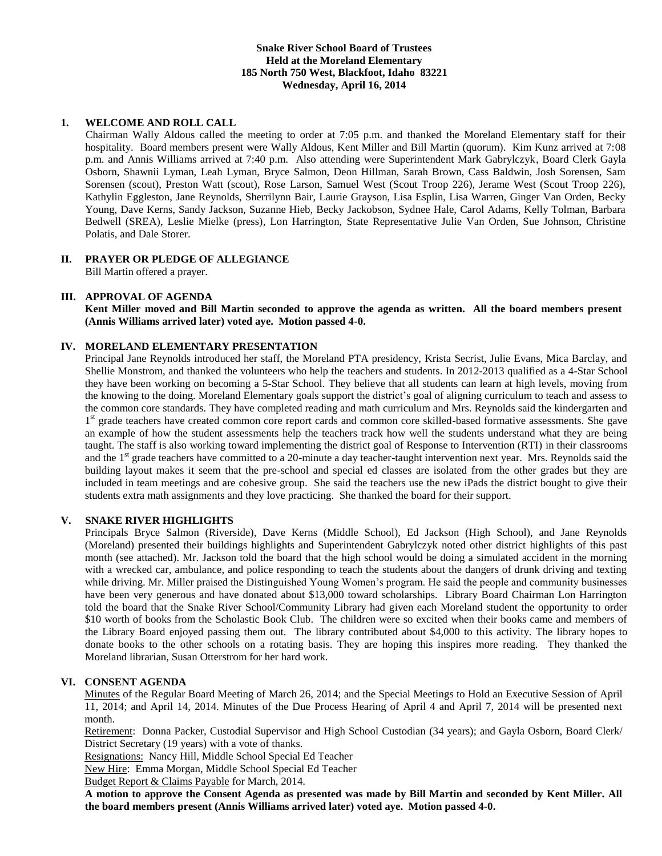# **Snake River School Board of Trustees Held at the Moreland Elementary 185 North 750 West, Blackfoot, Idaho 83221 Wednesday, April 16, 2014**

# **1. WELCOME AND ROLL CALL**

Chairman Wally Aldous called the meeting to order at 7:05 p.m. and thanked the Moreland Elementary staff for their hospitality. Board members present were Wally Aldous, Kent Miller and Bill Martin (quorum). Kim Kunz arrived at 7:08 p.m. and Annis Williams arrived at 7:40 p.m. Also attending were Superintendent Mark Gabrylczyk, Board Clerk Gayla Osborn, Shawnii Lyman, Leah Lyman, Bryce Salmon, Deon Hillman, Sarah Brown, Cass Baldwin, Josh Sorensen, Sam Sorensen (scout), Preston Watt (scout), Rose Larson, Samuel West (Scout Troop 226), Jerame West (Scout Troop 226), Kathylin Eggleston, Jane Reynolds, Sherrilynn Bair, Laurie Grayson, Lisa Esplin, Lisa Warren, Ginger Van Orden, Becky Young, Dave Kerns, Sandy Jackson, Suzanne Hieb, Becky Jackobson, Sydnee Hale, Carol Adams, Kelly Tolman, Barbara Bedwell (SREA), Leslie Mielke (press), Lon Harrington, State Representative Julie Van Orden, Sue Johnson, Christine Polatis, and Dale Storer.

#### **II. PRAYER OR PLEDGE OF ALLEGIANCE** Bill Martin offered a prayer.

### **III. APPROVAL OF AGENDA**

**Kent Miller moved and Bill Martin seconded to approve the agenda as written. All the board members present (Annis Williams arrived later) voted aye. Motion passed 4-0.**

# **IV. MORELAND ELEMENTARY PRESENTATION**

Principal Jane Reynolds introduced her staff, the Moreland PTA presidency, Krista Secrist, Julie Evans, Mica Barclay, and Shellie Monstrom, and thanked the volunteers who help the teachers and students. In 2012-2013 qualified as a 4-Star School they have been working on becoming a 5-Star School. They believe that all students can learn at high levels, moving from the knowing to the doing. Moreland Elementary goals support the district's goal of aligning curriculum to teach and assess to the common core standards. They have completed reading and math curriculum and Mrs. Reynolds said the kindergarten and 1<sup>st</sup> grade teachers have created common core report cards and common core skilled-based formative assessments. She gave an example of how the student assessments help the teachers track how well the students understand what they are being taught. The staff is also working toward implementing the district goal of Response to Intervention (RTI) in their classrooms and the 1<sup>st</sup> grade teachers have committed to a 20-minute a day teacher-taught intervention next year. Mrs. Reynolds said the building layout makes it seem that the pre-school and special ed classes are isolated from the other grades but they are included in team meetings and are cohesive group. She said the teachers use the new iPads the district bought to give their students extra math assignments and they love practicing. She thanked the board for their support.

# **V. SNAKE RIVER HIGHLIGHTS**

Principals Bryce Salmon (Riverside), Dave Kerns (Middle School), Ed Jackson (High School), and Jane Reynolds (Moreland) presented their buildings highlights and Superintendent Gabrylczyk noted other district highlights of this past month (see attached). Mr. Jackson told the board that the high school would be doing a simulated accident in the morning with a wrecked car, ambulance, and police responding to teach the students about the dangers of drunk driving and texting while driving. Mr. Miller praised the Distinguished Young Women's program. He said the people and community businesses have been very generous and have donated about \$13,000 toward scholarships. Library Board Chairman Lon Harrington told the board that the Snake River School/Community Library had given each Moreland student the opportunity to order \$10 worth of books from the Scholastic Book Club. The children were so excited when their books came and members of the Library Board enjoyed passing them out. The library contributed about \$4,000 to this activity. The library hopes to donate books to the other schools on a rotating basis. They are hoping this inspires more reading. They thanked the Moreland librarian, Susan Otterstrom for her hard work.

### **VI. CONSENT AGENDA**

Minutes of the Regular Board Meeting of March 26, 2014; and the Special Meetings to Hold an Executive Session of April 11, 2014; and April 14, 2014. Minutes of the Due Process Hearing of April 4 and April 7, 2014 will be presented next month.

Retirement: Donna Packer, Custodial Supervisor and High School Custodian (34 years); and Gayla Osborn, Board Clerk/ District Secretary (19 years) with a vote of thanks.

Resignations: Nancy Hill, Middle School Special Ed Teacher

New Hire: Emma Morgan, Middle School Special Ed Teacher

Budget Report & Claims Payable for March, 2014.

**A motion to approve the Consent Agenda as presented was made by Bill Martin and seconded by Kent Miller. All the board members present (Annis Williams arrived later) voted aye. Motion passed 4-0.**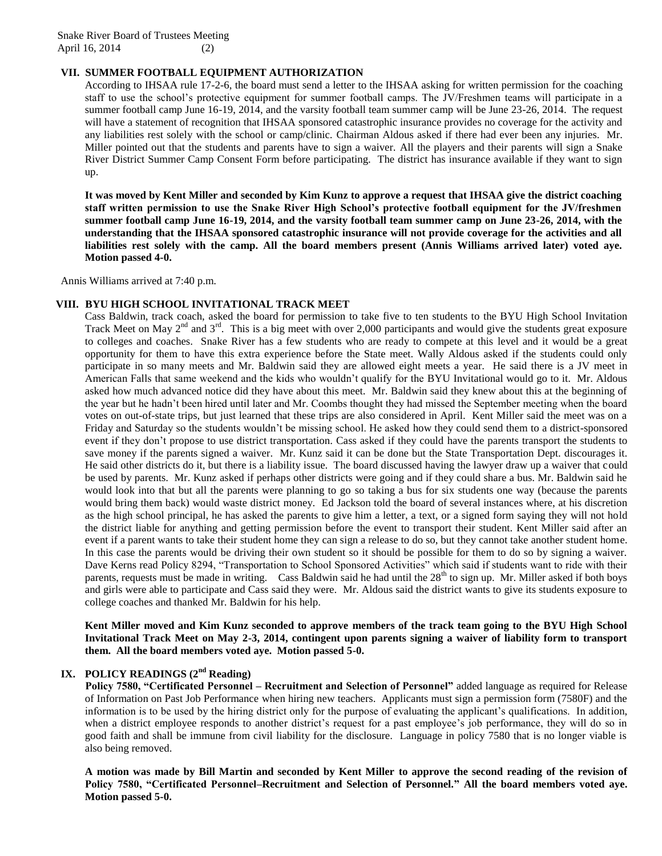Snake River Board of Trustees Meeting April 16, 2014 (2)

# **VII. SUMMER FOOTBALL EQUIPMENT AUTHORIZATION**

According to IHSAA rule 17-2-6, the board must send a letter to the IHSAA asking for written permission for the coaching staff to use the school's protective equipment for summer football camps. The JV/Freshmen teams will participate in a summer football camp June 16-19, 2014, and the varsity football team summer camp will be June 23-26, 2014. The request will have a statement of recognition that IHSAA sponsored catastrophic insurance provides no coverage for the activity and any liabilities rest solely with the school or camp/clinic. Chairman Aldous asked if there had ever been any injuries. Mr. Miller pointed out that the students and parents have to sign a waiver. All the players and their parents will sign a Snake River District Summer Camp Consent Form before participating. The district has insurance available if they want to sign up.

**It was moved by Kent Miller and seconded by Kim Kunz to approve a request that IHSAA give the district coaching staff written permission to use the Snake River High School's protective football equipment for the JV/freshmen summer football camp June 16-19, 2014, and the varsity football team summer camp on June 23-26, 2014, with the understanding that the IHSAA sponsored catastrophic insurance will not provide coverage for the activities and all liabilities rest solely with the camp. All the board members present (Annis Williams arrived later) voted aye. Motion passed 4-0.**

Annis Williams arrived at 7:40 p.m.

### **VIII. BYU HIGH SCHOOL INVITATIONAL TRACK MEET**

Cass Baldwin, track coach, asked the board for permission to take five to ten students to the BYU High School Invitation Track Meet on May  $2^{nd}$  and  $3^{rd}$ . This is a big meet with over 2,000 participants and would give the students great exposure to colleges and coaches. Snake River has a few students who are ready to compete at this level and it would be a great opportunity for them to have this extra experience before the State meet. Wally Aldous asked if the students could only participate in so many meets and Mr. Baldwin said they are allowed eight meets a year. He said there is a JV meet in American Falls that same weekend and the kids who wouldn't qualify for the BYU Invitational would go to it. Mr. Aldous asked how much advanced notice did they have about this meet. Mr. Baldwin said they knew about this at the beginning of the year but he hadn't been hired until later and Mr. Coombs thought they had missed the September meeting when the board votes on out-of-state trips, but just learned that these trips are also considered in April. Kent Miller said the meet was on a Friday and Saturday so the students wouldn't be missing school. He asked how they could send them to a district-sponsored event if they don't propose to use district transportation. Cass asked if they could have the parents transport the students to save money if the parents signed a waiver. Mr. Kunz said it can be done but the State Transportation Dept. discourages it. He said other districts do it, but there is a liability issue. The board discussed having the lawyer draw up a waiver that could be used by parents. Mr. Kunz asked if perhaps other districts were going and if they could share a bus. Mr. Baldwin said he would look into that but all the parents were planning to go so taking a bus for six students one way (because the parents would bring them back) would waste district money. Ed Jackson told the board of several instances where, at his discretion as the high school principal, he has asked the parents to give him a letter, a text, or a signed form saying they will not hold the district liable for anything and getting permission before the event to transport their student. Kent Miller said after an event if a parent wants to take their student home they can sign a release to do so, but they cannot take another student home. In this case the parents would be driving their own student so it should be possible for them to do so by signing a waiver. Dave Kerns read Policy 8294, "Transportation to School Sponsored Activities" which said if students want to ride with their parents, requests must be made in writing. Cass Baldwin said he had until the  $28<sup>th</sup>$  to sign up. Mr. Miller asked if both boys and girls were able to participate and Cass said they were. Mr. Aldous said the district wants to give its students exposure to college coaches and thanked Mr. Baldwin for his help.

**Kent Miller moved and Kim Kunz seconded to approve members of the track team going to the BYU High School Invitational Track Meet on May 2-3, 2014, contingent upon parents signing a waiver of liability form to transport them. All the board members voted aye. Motion passed 5-0.**

# **IX. POLICY READINGS (2nd Reading)**

**Policy 7580, "Certificated Personnel – Recruitment and Selection of Personnel"** added language as required for Release of Information on Past Job Performance when hiring new teachers. Applicants must sign a permission form (7580F) and the information is to be used by the hiring district only for the purpose of evaluating the applicant's qualifications. In addition, when a district employee responds to another district's request for a past employee's job performance, they will do so in good faith and shall be immune from civil liability for the disclosure. Language in policy 7580 that is no longer viable is also being removed.

**A motion was made by Bill Martin and seconded by Kent Miller to approve the second reading of the revision of Policy 7580, "Certificated Personnel–Recruitment and Selection of Personnel." All the board members voted aye. Motion passed 5-0.**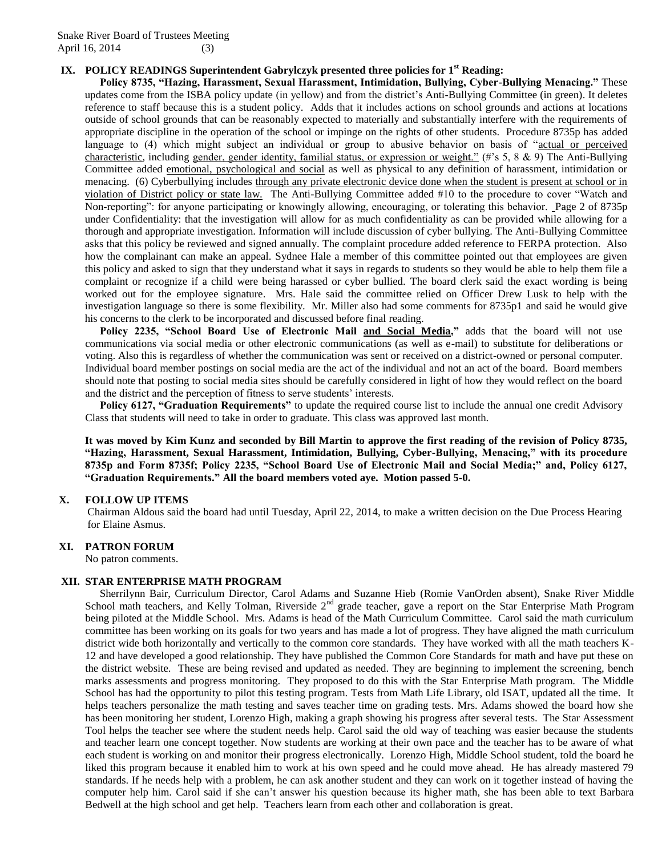# **IX. POLICY READINGS Superintendent Gabrylczyk presented three policies for 1st Reading:**

**Policy 8735, "Hazing, Harassment, Sexual Harassment, Intimidation, Bullying, Cyber-Bullying Menacing."** These updates come from the ISBA policy update (in yellow) and from the district's Anti-Bullying Committee (in green). It deletes reference to staff because this is a student policy. Adds that it includes actions on school grounds and actions at locations outside of school grounds that can be reasonably expected to materially and substantially interfere with the requirements of appropriate discipline in the operation of the school or impinge on the rights of other students. Procedure 8735p has added language to (4) which might subject an individual or group to abusive behavior on basis of "actual or perceived characteristic, including gender, gender identity, familial status, or expression or weight." (#'s 5, 8 & 9) The Anti-Bullying Committee added emotional, psychological and social as well as physical to any definition of harassment, intimidation or menacing. (6) Cyberbullying includes through any private electronic device done when the student is present at school or in violation of District policy or state law. The Anti-Bullying Committee added #10 to the procedure to cover "Watch and Non-reporting": for anyone participating or knowingly allowing, encouraging, or tolerating this behavior. Page 2 of 8735p under Confidentiality: that the investigation will allow for as much confidentiality as can be provided while allowing for a thorough and appropriate investigation. Information will include discussion of cyber bullying. The Anti-Bullying Committee asks that this policy be reviewed and signed annually. The complaint procedure added reference to FERPA protection. Also how the complainant can make an appeal. Sydnee Hale a member of this committee pointed out that employees are given this policy and asked to sign that they understand what it says in regards to students so they would be able to help them file a complaint or recognize if a child were being harassed or cyber bullied. The board clerk said the exact wording is being worked out for the employee signature. Mrs. Hale said the committee relied on Officer Drew Lusk to help with the investigation language so there is some flexibility. Mr. Miller also had some comments for 8735p1 and said he would give his concerns to the clerk to be incorporated and discussed before final reading.

**Policy 2235, "School Board Use of Electronic Mail and Social Media,"** adds that the board will not use communications via social media or other electronic communications (as well as e-mail) to substitute for deliberations or voting. Also this is regardless of whether the communication was sent or received on a district-owned or personal computer. Individual board member postings on social media are the act of the individual and not an act of the board. Board members should note that posting to social media sites should be carefully considered in light of how they would reflect on the board and the district and the perception of fitness to serve students' interests.

**Policy 6127, "Graduation Requirements"** to update the required course list to include the annual one credit Advisory Class that students will need to take in order to graduate. This class was approved last month.

**It was moved by Kim Kunz and seconded by Bill Martin to approve the first reading of the revision of Policy 8735, "Hazing, Harassment, Sexual Harassment, Intimidation, Bullying, Cyber-Bullying, Menacing," with its procedure 8735p and Form 8735f; Policy 2235, "School Board Use of Electronic Mail and Social Media;" and, Policy 6127, "Graduation Requirements." All the board members voted aye. Motion passed 5-0.**

### **X. FOLLOW UP ITEMS**

Chairman Aldous said the board had until Tuesday, April 22, 2014, to make a written decision on the Due Process Hearing for Elaine Asmus.

## **XI. PATRON FORUM**

No patron comments.

### **XII. STAR ENTERPRISE MATH PROGRAM**

Sherrilynn Bair, Curriculum Director, Carol Adams and Suzanne Hieb (Romie VanOrden absent), Snake River Middle School math teachers, and Kelly Tolman, Riverside 2<sup>nd</sup> grade teacher, gave a report on the Star Enterprise Math Program being piloted at the Middle School. Mrs. Adams is head of the Math Curriculum Committee. Carol said the math curriculum committee has been working on its goals for two years and has made a lot of progress. They have aligned the math curriculum district wide both horizontally and vertically to the common core standards. They have worked with all the math teachers K-12 and have developed a good relationship. They have published the Common Core Standards for math and have put these on the district website. These are being revised and updated as needed. They are beginning to implement the screening, bench marks assessments and progress monitoring. They proposed to do this with the Star Enterprise Math program. The Middle School has had the opportunity to pilot this testing program. Tests from Math Life Library, old ISAT, updated all the time. It helps teachers personalize the math testing and saves teacher time on grading tests. Mrs. Adams showed the board how she has been monitoring her student, Lorenzo High, making a graph showing his progress after several tests. The Star Assessment Tool helps the teacher see where the student needs help. Carol said the old way of teaching was easier because the students and teacher learn one concept together. Now students are working at their own pace and the teacher has to be aware of what each student is working on and monitor their progress electronically. Lorenzo High, Middle School student, told the board he liked this program because it enabled him to work at his own speed and he could move ahead. He has already mastered 79 standards. If he needs help with a problem, he can ask another student and they can work on it together instead of having the computer help him. Carol said if she can't answer his question because its higher math, she has been able to text Barbara Bedwell at the high school and get help. Teachers learn from each other and collaboration is great.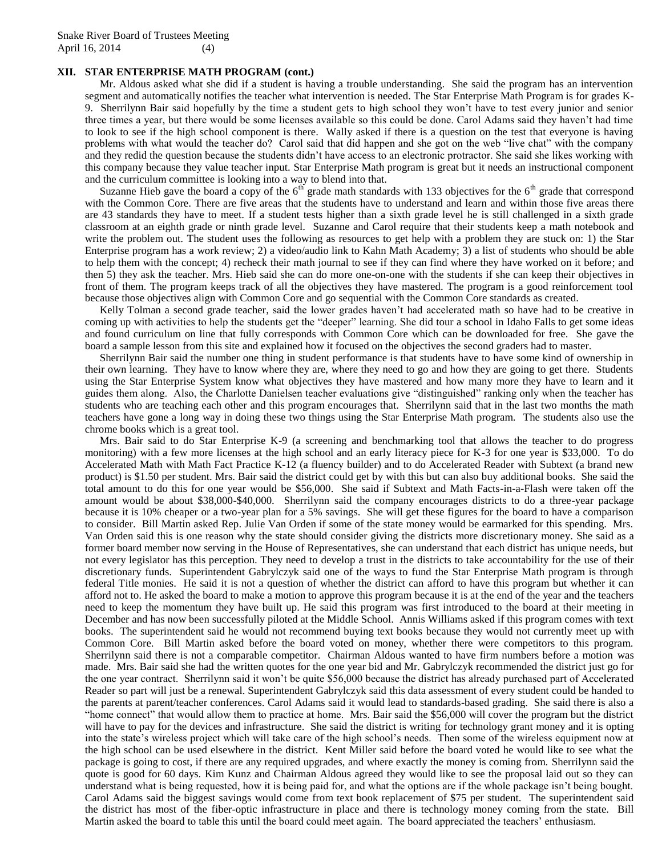## **XII. STAR ENTERPRISE MATH PROGRAM (cont.)**

Mr. Aldous asked what she did if a student is having a trouble understanding. She said the program has an intervention segment and automatically notifies the teacher what intervention is needed. The Star Enterprise Math Program is for grades K-9. Sherrilynn Bair said hopefully by the time a student gets to high school they won't have to test every junior and senior three times a year, but there would be some licenses available so this could be done. Carol Adams said they haven't had time to look to see if the high school component is there. Wally asked if there is a question on the test that everyone is having problems with what would the teacher do? Carol said that did happen and she got on the web "live chat" with the company and they redid the question because the students didn't have access to an electronic protractor. She said she likes working with this company because they value teacher input. Star Enterprise Math program is great but it needs an instructional component and the curriculum committee is looking into a way to blend into that.

Suzanne Hieb gave the board a copy of the  $6<sup>th</sup>$  grade math standards with 133 objectives for the  $6<sup>th</sup>$  grade that correspond with the Common Core. There are five areas that the students have to understand and learn and within those five areas there are 43 standards they have to meet. If a student tests higher than a sixth grade level he is still challenged in a sixth grade classroom at an eighth grade or ninth grade level. Suzanne and Carol require that their students keep a math notebook and write the problem out. The student uses the following as resources to get help with a problem they are stuck on: 1) the Star Enterprise program has a work review; 2) a video/audio link to Kahn Math Academy; 3) a list of students who should be able to help them with the concept; 4) recheck their math journal to see if they can find where they have worked on it before; and then 5) they ask the teacher. Mrs. Hieb said she can do more one-on-one with the students if she can keep their objectives in front of them. The program keeps track of all the objectives they have mastered. The program is a good reinforcement tool because those objectives align with Common Core and go sequential with the Common Core standards as created.

Kelly Tolman a second grade teacher, said the lower grades haven't had accelerated math so have had to be creative in coming up with activities to help the students get the "deeper" learning. She did tour a school in Idaho Falls to get some ideas and found curriculum on line that fully corresponds with Common Core which can be downloaded for free. She gave the board a sample lesson from this site and explained how it focused on the objectives the second graders had to master.

Sherrilynn Bair said the number one thing in student performance is that students have to have some kind of ownership in their own learning. They have to know where they are, where they need to go and how they are going to get there. Students using the Star Enterprise System know what objectives they have mastered and how many more they have to learn and it guides them along. Also, the Charlotte Danielsen teacher evaluations give "distinguished" ranking only when the teacher has students who are teaching each other and this program encourages that. Sherrilynn said that in the last two months the math teachers have gone a long way in doing these two things using the Star Enterprise Math program. The students also use the chrome books which is a great tool.

Mrs. Bair said to do Star Enterprise K-9 (a screening and benchmarking tool that allows the teacher to do progress monitoring) with a few more licenses at the high school and an early literacy piece for K-3 for one year is \$33,000. To do Accelerated Math with Math Fact Practice K-12 (a fluency builder) and to do Accelerated Reader with Subtext (a brand new product) is \$1.50 per student. Mrs. Bair said the district could get by with this but can also buy additional books. She said the total amount to do this for one year would be \$56,000. She said if Subtext and Math Facts-in-a-Flash were taken off the amount would be about \$38,000-\$40,000. Sherrilynn said the company encourages districts to do a three-year package because it is 10% cheaper or a two-year plan for a 5% savings. She will get these figures for the board to have a comparison to consider. Bill Martin asked Rep. Julie Van Orden if some of the state money would be earmarked for this spending. Mrs. Van Orden said this is one reason why the state should consider giving the districts more discretionary money. She said as a former board member now serving in the House of Representatives, she can understand that each district has unique needs, but not every legislator has this perception. They need to develop a trust in the districts to take accountability for the use of their discretionary funds. Superintendent Gabrylczyk said one of the ways to fund the Star Enterprise Math program is through federal Title monies. He said it is not a question of whether the district can afford to have this program but whether it can afford not to. He asked the board to make a motion to approve this program because it is at the end of the year and the teachers need to keep the momentum they have built up. He said this program was first introduced to the board at their meeting in December and has now been successfully piloted at the Middle School. Annis Williams asked if this program comes with text books. The superintendent said he would not recommend buying text books because they would not currently meet up with Common Core. Bill Martin asked before the board voted on money, whether there were competitors to this program. Sherrilynn said there is not a comparable competitor. Chairman Aldous wanted to have firm numbers before a motion was made. Mrs. Bair said she had the written quotes for the one year bid and Mr. Gabrylczyk recommended the district just go for the one year contract. Sherrilynn said it won't be quite \$56,000 because the district has already purchased part of Accelerated Reader so part will just be a renewal. Superintendent Gabrylczyk said this data assessment of every student could be handed to the parents at parent/teacher conferences. Carol Adams said it would lead to standards-based grading. She said there is also a "home connect" that would allow them to practice at home. Mrs. Bair said the \$56,000 will cover the program but the district will have to pay for the devices and infrastructure. She said the district is writing for technology grant money and it is opting into the state's wireless project which will take care of the high school's needs. Then some of the wireless equipment now at the high school can be used elsewhere in the district. Kent Miller said before the board voted he would like to see what the package is going to cost, if there are any required upgrades, and where exactly the money is coming from. Sherrilynn said the quote is good for 60 days. Kim Kunz and Chairman Aldous agreed they would like to see the proposal laid out so they can understand what is being requested, how it is being paid for, and what the options are if the whole package isn't being bought. Carol Adams said the biggest savings would come from text book replacement of \$75 per student. The superintendent said the district has most of the fiber-optic infrastructure in place and there is technology money coming from the state. Bill Martin asked the board to table this until the board could meet again. The board appreciated the teachers' enthusiasm.